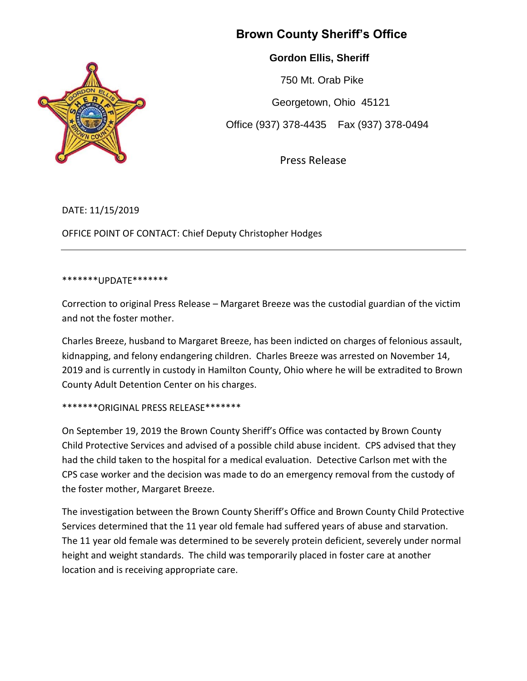## **Brown County Sheriff's Office**

 **Gordon Ellis, Sheriff**

 750 Mt. Orab Pike Georgetown, Ohio 45121 Office (937) 378-4435 Fax (937) 378-0494

Press Release

DATE: 11/15/2019

OFFICE POINT OF CONTACT: Chief Deputy Christopher Hodges

## \*\*\*\*\*\*\*UPDATE\*\*\*\*\*\*\*

Correction to original Press Release – Margaret Breeze was the custodial guardian of the victim and not the foster mother.

Charles Breeze, husband to Margaret Breeze, has been indicted on charges of felonious assault, kidnapping, and felony endangering children. Charles Breeze was arrested on November 14, 2019 and is currently in custody in Hamilton County, Ohio where he will be extradited to Brown County Adult Detention Center on his charges.

## \*\*\*\*\*\*\*ORIGINAL PRESS RELEASE\*\*\*\*\*\*\*

On September 19, 2019 the Brown County Sheriff's Office was contacted by Brown County Child Protective Services and advised of a possible child abuse incident. CPS advised that they had the child taken to the hospital for a medical evaluation. Detective Carlson met with the CPS case worker and the decision was made to do an emergency removal from the custody of the foster mother, Margaret Breeze.

The investigation between the Brown County Sheriff's Office and Brown County Child Protective Services determined that the 11 year old female had suffered years of abuse and starvation. The 11 year old female was determined to be severely protein deficient, severely under normal height and weight standards. The child was temporarily placed in foster care at another location and is receiving appropriate care.